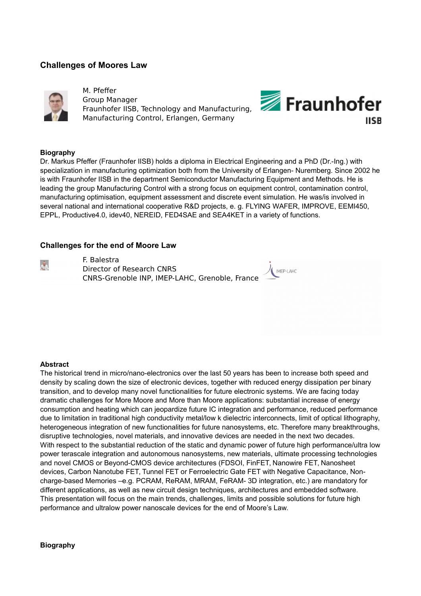# **Challenges of Moores Law**



M. Pfeffer Group Manager Fraunhofer IISB, Technology and Manufacturing, Manufacturing Control, Erlangen, Germany



### **Biography**

Dr. Markus Pfeffer (Fraunhofer IISB) holds a diploma in Electrical Engineering and a PhD (Dr.-Ing.) with specialization in manufacturing optimization both from the University of Erlangen- Nuremberg. Since 2002 he is with Fraunhofer IISB in the department Semiconductor Manufacturing Equipment and Methods. He is leading the group Manufacturing Control with a strong focus on equipment control, contamination control, manufacturing optimisation, equipment assessment and discrete event simulation. He was/is involved in several national and international cooperative R&D projects, e. g. FLYING WAFER, IMPROVE, EEMI450, EPPL, Productive4.0, idev40, NEREID, FED4SAE and SEA4KET in a variety of functions.

### **Challenges for the end of Moore Law**

 $\mathbf{R}$ 

F. Balestra Director of Research CNRS CNRS-Grenoble INP, IMEP-LAHC, Grenoble, France



#### **Abstract**

The historical trend in micro/nano-electronics over the last 50 years has been to increase both speed and density by scaling down the size of electronic devices, together with reduced energy dissipation per binary transition, and to develop many novel functionalities for future electronic systems. We are facing today dramatic challenges for More Moore and More than Moore applications: substantial increase of energy consumption and heating which can jeopardize future IC integration and performance, reduced performance due to limitation in traditional high conductivity metal/low k dielectric interconnects, limit of optical lithography, heterogeneous integration of new functionalities for future nanosystems, etc. Therefore many breakthroughs, disruptive technologies, novel materials, and innovative devices are needed in the next two decades. With respect to the substantial reduction of the static and dynamic power of future high performance/ultra low power terascale integration and autonomous nanosystems, new materials, ultimate processing technologies and novel CMOS or Beyond-CMOS device architectures (FDSOI, FinFET, Nanowire FET, Nanosheet devices, Carbon Nanotube FET, Tunnel FET or Ferroelectric Gate FET with Negative Capacitance, Noncharge-based Memories –e.g. PCRAM, ReRAM, MRAM, FeRAM- 3D integration, etc.) are mandatory for different applications, as well as new circuit design techniques, architectures and embedded software. This presentation will focus on the main trends, challenges, limits and possible solutions for future high performance and ultralow power nanoscale devices for the end of Moore's Law.

#### **Biography**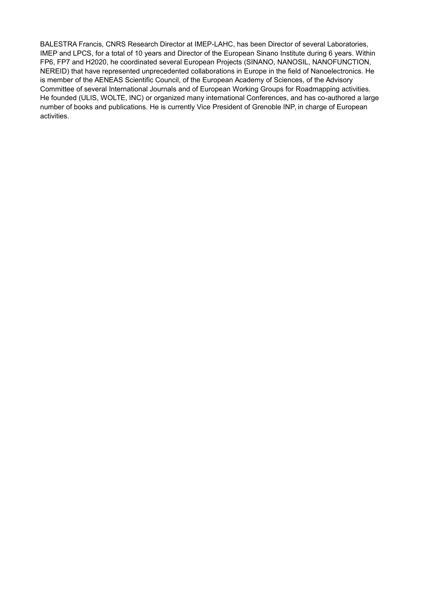BALESTRA Francis, CNRS Research Director at IMEP-LAHC, has been Director of several Laboratories, IMEP and LPCS, for a total of 10 years and Director of the European Sinano Institute during 6 years. Within FP6, FP7 and H2020, he coordinated several European Projects (SINANO, NANOSIL, NANOFUNCTION, NEREID) that have represented unprecedented collaborations in Europe in the field of Nanoelectronics. He is member of the AENEAS Scientific Council, of the European Academy of Sciences, of the Advisory Committee of several International Journals and of European Working Groups for Roadmapping activities. He founded (ULIS, WOLTE, INC) or organized many international Conferences, and has co-authored a large number of books and publications. He is currently Vice President of Grenoble INP, in charge of European activities.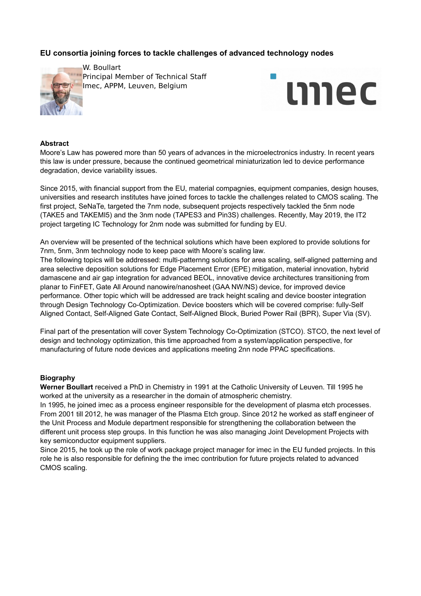# **EU consortia joining forces to tackle challenges of advanced technology nodes**



W. Boullart Principal Member of Technical Staff Imec, APPM, Leuven, Belgium



#### **Abstract**

Moore's Law has powered more than 50 years of advances in the microelectronics industry. In recent years this law is under pressure, because the continued geometrical miniaturization led to device performance degradation, device variability issues.

Since 2015, with financial support from the EU, material compagnies, equipment companies, design houses, universities and research institutes have joined forces to tackle the challenges related to CMOS scaling. The first project, SeNaTe, targeted the 7nm node, subsequent projects respectively tackled the 5nm node (TAKE5 and TAKEMI5) and the 3nm node (TAPES3 and Pin3S) challenges. Recently, May 2019, the IT2 project targeting IC Technology for 2nm node was submitted for funding by EU.

An overview will be presented of the technical solutions which have been explored to provide solutions for 7nm, 5nm, 3nm technology node to keep pace with Moore's scaling law.

The following topics will be addressed: multi-patternng solutions for area scaling, self-aligned patterning and area selective deposition solutions for Edge Placement Error (EPE) mitigation, material innovation, hybrid damascene and air gap integration for advanced BEOL, innovative device architectures transitioning from planar to FinFET, Gate All Around nanowire/nanosheet (GAA NW/NS) device, for improved device performance. Other topic which will be addressed are track height scaling and device booster integration through Design Technology Co-Optimization. Device boosters which will be covered comprise: fully-Self Aligned Contact, Self-Aligned Gate Contact, Self-Aligned Block, Buried Power Rail (BPR), Super Via (SV).

Final part of the presentation will cover System Technology Co-Optimization (STCO). STCO, the next level of design and technology optimization, this time approached from a system/application perspective, for manufacturing of future node devices and applications meeting 2nn node PPAC specifications.

#### **Biography**

**Werner Boullart** received a PhD in Chemistry in 1991 at the Catholic University of Leuven. Till 1995 he worked at the university as a researcher in the domain of atmospheric chemistry.

In 1995, he joined imec as a process engineer responsible for the development of plasma etch processes. From 2001 till 2012, he was manager of the Plasma Etch group. Since 2012 he worked as staff engineer of the Unit Process and Module department responsible for strengthening the collaboration between the different unit process step groups. In this function he was also managing Joint Development Projects with key semiconductor equipment suppliers.

Since 2015, he took up the role of work package project manager for imec in the EU funded projects. In this role he is also responsible for defining the the imec contribution for future projects related to advanced CMOS scaling.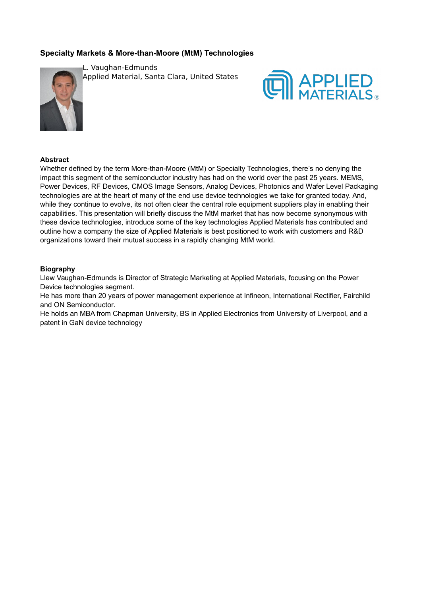# **Specialty Markets & More-than-Moore (MtM) Technologies**



L. Vaughan-Edmunds Applied Material, Santa Clara, United States



### **Abstract**

Whether defined by the term More-than-Moore (MtM) or Specialty Technologies, there's no denying the impact this segment of the semiconductor industry has had on the world over the past 25 years. MEMS, Power Devices, RF Devices, CMOS Image Sensors, Analog Devices, Photonics and Wafer Level Packaging technologies are at the heart of many of the end use device technologies we take for granted today. And, while they continue to evolve, its not often clear the central role equipment suppliers play in enabling their capabilities. This presentation will briefly discuss the MtM market that has now become synonymous with these device technologies, introduce some of the key technologies Applied Materials has contributed and outline how a company the size of Applied Materials is best positioned to work with customers and R&D organizations toward their mutual success in a rapidly changing MtM world.

### **Biography**

Llew Vaughan-Edmunds is Director of Strategic Marketing at Applied Materials, focusing on the Power Device technologies segment.

He has more than 20 years of power management experience at Infineon, International Rectifier, Fairchild and ON Semiconductor.

He holds an MBA from Chapman University, BS in Applied Electronics from University of Liverpool, and a patent in GaN device technology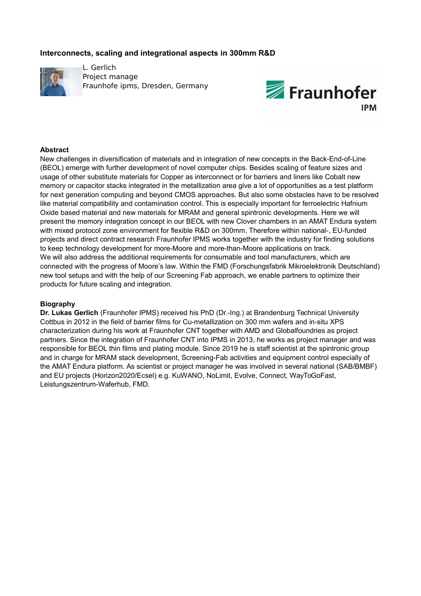## **Interconnects, scaling and integrational aspects in 300mm R&D**



L. Gerlich Project manage Fraunhofe ipms, Dresden, Germany



## **Abstract**

New challenges in diversification of materials and in integration of new concepts in the Back-End-of-Line (BEOL) emerge with further development of novel computer chips. Besides scaling of feature sizes and usage of other substitute materials for Copper as interconnect or for barriers and liners like Cobalt new memory or capacitor stacks integrated in the metallization area give a lot of opportunities as a test platform for next generation computing and beyond CMOS approaches. But also some obstacles have to be resolved like material compatibility and contamination control. This is especially important for ferroelectric Hafnium Oxide based material and new materials for MRAM and general spintronic developments. Here we will present the memory integration concept in our BEOL with new Clover chambers in an AMAT Endura system with mixed protocol zone environment for flexible R&D on 300mm. Therefore within national-, EU-funded projects and direct contract research Fraunhofer IPMS works together with the industry for finding solutions to keep technology development for more-Moore and more-than-Moore applications on track. We will also address the additional requirements for consumable and tool manufacturers, which are connected with the progress of Moore's law. Within the FMD (Forschungsfabrik Mikroelektronik Deutschland) new tool setups and with the help of our Screening Fab approach, we enable partners to optimize their products for future scaling and integration.

## **Biography**

**Dr. Lukas Gerlich** (Fraunhofer IPMS) received his PhD (Dr.-Ing.) at Brandenburg Technical University Cottbus in 2012 in the field of barrier films for Cu-metallization on 300 mm wafers and in-situ XPS characterization during his work at Fraunhofer CNT together with AMD and Globalfoundries as project partners. Since the integration of Fraunhofer CNT into IPMS in 2013, he works as project manager and was responsible for BEOL thin films and plating module. Since 2019 he is staff scientist at the spintronic group and in charge for MRAM stack development, Screening-Fab activities and equipment control especially of the AMAT Endura platform. As scientist or project manager he was involved in several national (SAB/BMBF) and EU projects (Horizon2020/Ecsel) e.g. KuWANO, NoLimit, Evolve, Connect, WayToGoFast, Leistungszentrum-Waferhub, FMD.